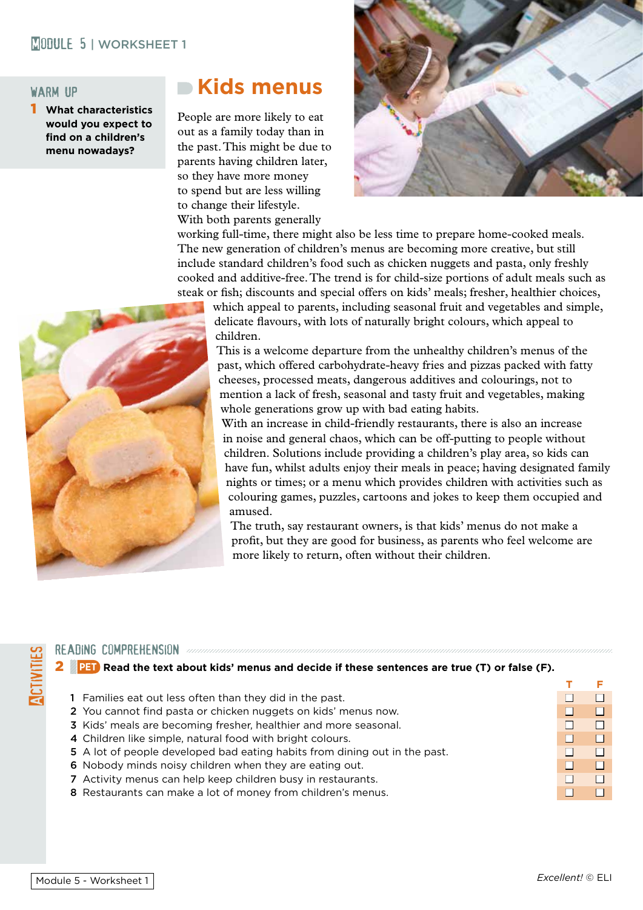#### **MODULE 5 | WORKSHEET 1**

#### warm up

1 **What characteristics would you expect to find on a children's menu nowadays?**

## **Kids menus**

People are more likely to eat out as a family today than in the past. This might be due to parents having children later, so they have more money to spend but are less willing to change their lifestyle. With both parents generally



working full-time, there might also be less time to prepare home-cooked meals. The new generation of children's menus are becoming more creative, but still include standard children's food such as chicken nuggets and pasta, only freshly cooked and additive-free. The trend is for child-size portions of adult meals such as steak or fish; discounts and special offers on kids' meals; fresher, healthier choices,

which appeal to parents, including seasonal fruit and vegetables and simple, delicate flavours, with lots of naturally bright colours, which appeal to children.

This is a welcome departure from the unhealthy children's menus of the past, which offered carbohydrate-heavy fries and pizzas packed with fatty cheeses, processed meats, dangerous additives and colourings, not to mention a lack of fresh, seasonal and tasty fruit and vegetables, making whole generations grow up with bad eating habits.

With an increase in child-friendly restaurants, there is also an increase in noise and general chaos, which can be off-putting to people without children. Solutions include providing a children's play area, so kids can have fun, whilst adults enjoy their meals in peace; having designated family nights or times; or a menu which provides children with activities such as colouring games, puzzles, cartoons and jokes to keep them occupied and amused.

The truth, say restaurant owners, is that kids' menus do not make a profit, but they are good for business, as parents who feel welcome are more likely to return, often without their children.

# **COMPREHENSION**<br> **2 PET** Read the text<br> **1** Families eat out les

#### 2 **PET Read the text about kids' menus and decide if these sentences are true (T) or false (F).**

**T F**

- 1 Families eat out less often than they did in the past.  $\Box$   $\Box$
- 2 You cannot find pasta or chicken nuggets on kids' menus now.  $\Box$  now  $\Box$  now  $\Box$  now  $\Box$  now  $\Box$  now  $\Box$  now  $\Box$  now  $\Box$  now  $\Box$  now  $\Box$  now  $\Box$  now  $\Box$  now  $\Box$  now  $\Box$  now  $\Box$  now  $\Box$  now  $\Box$  now  $\Box$
- **3** Kids' meals are becoming fresher, healthier and more seasonal.  $\Box$   $\Box$
- **4** Children like simple, natural food with bright colours.  $\Box$
- 5 A lot of people developed bad eating habits from dining out in the past.  $\Box$
- 6 Nobody minds noisy children when they are eating out.  $\Box$
- **7** Activity menus can help keep children busy in restaurants.  $\Box$   $\Box$
- **8** Restaurants can make a lot of money from children's menus.  $\Box$   $\Box$